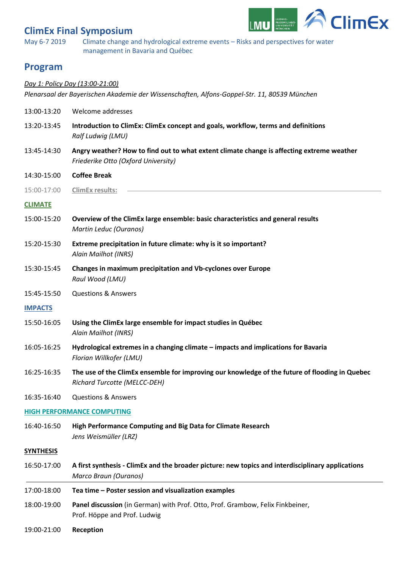# **ClimEx Final Symposium**



May 6-7 2019 Climate change and hydrological extreme events – Risks and perspectives for water management in Bavaria and Québec

### **Program**

#### *Day 1: Policy Day (13:00-21:00)*

*Plenarsaal der Bayerischen Akademie der Wissenschaften, Alfons-Goppel-Str. 11, 80539 München*

| 13:00-13:20                       | Welcome addresses                                                                                                                 |
|-----------------------------------|-----------------------------------------------------------------------------------------------------------------------------------|
| 13:20-13:45                       | Introduction to ClimEx: ClimEx concept and goals, workflow, terms and definitions<br>Ralf Ludwig (LMU)                            |
| 13:45-14:30                       | Angry weather? How to find out to what extent climate change is affecting extreme weather<br>Friederike Otto (Oxford University)  |
| 14:30-15:00                       | <b>Coffee Break</b>                                                                                                               |
| 15:00-17:00                       | ClimEx results:                                                                                                                   |
| <b>CLIMATE</b>                    |                                                                                                                                   |
| 15:00-15:20                       | Overview of the ClimEx large ensemble: basic characteristics and general results<br>Martin Leduc (Ouranos)                        |
| 15:20-15:30                       | Extreme precipitation in future climate: why is it so important?<br>Alain Mailhot (INRS)                                          |
| 15:30-15:45                       | Changes in maximum precipitation and Vb-cyclones over Europe<br>Raul Wood (LMU)                                                   |
| 15:45-15:50                       | <b>Questions &amp; Answers</b>                                                                                                    |
| <b>IMPACTS</b>                    |                                                                                                                                   |
| 15:50-16:05                       | Using the ClimEx large ensemble for impact studies in Québec<br>Alain Mailhot (INRS)                                              |
| 16:05-16:25                       | Hydrological extremes in a changing climate - impacts and implications for Bavaria<br>Florian Willkofer (LMU)                     |
| 16:25-16:35                       | The use of the ClimEx ensemble for improving our knowledge of the future of flooding in Quebec<br>Richard Turcotte (MELCC-DEH)    |
| 16:35-16:40                       | <b>Questions &amp; Answers</b>                                                                                                    |
| <b>HIGH PERFORMANCE COMPUTING</b> |                                                                                                                                   |
| 16:40-16:50                       | High Performance Computing and Big Data for Climate Research<br>Jens Weismüller (LRZ)                                             |
| <b>SYNTHESIS</b>                  |                                                                                                                                   |
| 16:50-17:00                       | A first synthesis - ClimEx and the broader picture: new topics and interdisciplinary applications<br><b>Marco Braun (Ouranos)</b> |
| 17:00-18:00                       | Tea time - Poster session and visualization examples                                                                              |
| 18:00-19:00                       | Panel discussion (in German) with Prof. Otto, Prof. Grambow, Felix Finkbeiner,<br>Prof. Höppe and Prof. Ludwig                    |
| 19:00-21:00                       | Reception                                                                                                                         |